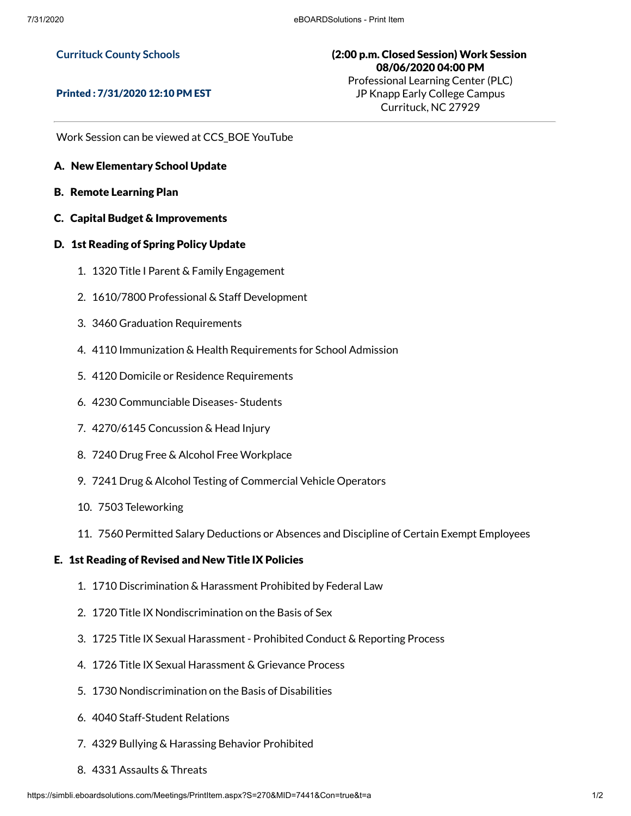## **Currituck County Schools**

## Printed : 7/31/2020 12:10 PM EST

(2:00 p.m. Closed Session) Work Session 08/06/2020 04:00 PM Professional Learning Center (PLC) JP Knapp Early College Campus Currituck, NC 27929

Work Session can be viewed at CCS\_BOE YouTube

- A. New Elementary School Update
- B. Remote Learning Plan
- C. Capital Budget & Improvements
- D. 1st Reading of Spring Policy Update
	- 1. 1320 Title I Parent & Family Engagement
	- 2. 1610/7800 Professional & Staff Development
	- 3. 3460 Graduation Requirements
	- 4. 4110 Immunization & Health Requirements for School Admission
	- 5. 4120 Domicile or Residence Requirements
	- 6. 4230 Communciable Diseases- Students
	- 7. 4270/6145 Concussion & Head Injury
	- 8. 7240 Drug Free & Alcohol Free Workplace
	- 9. 7241 Drug & Alcohol Testing of Commercial Vehicle Operators
	- 10. 7503 Teleworking
	- 11. 7560 Permitted Salary Deductions or Absences and Discipline of Certain Exempt Employees

## E. 1st Reading of Revised and New Title IX Policies

- 1. 1710 Discrimination & Harassment Prohibited by Federal Law
- 2. 1720 Title IX Nondiscrimination on the Basis of Sex
- 3. 1725 Title IX Sexual Harassment Prohibited Conduct & Reporting Process
- 4. 1726 Title IX Sexual Harassment & Grievance Process
- 5. 1730 Nondiscrimination on the Basis of Disabilities
- 6. 4040 Staff-Student Relations
- 7. 4329 Bullying & Harassing Behavior Prohibited
- 8. 4331 Assaults & Threats